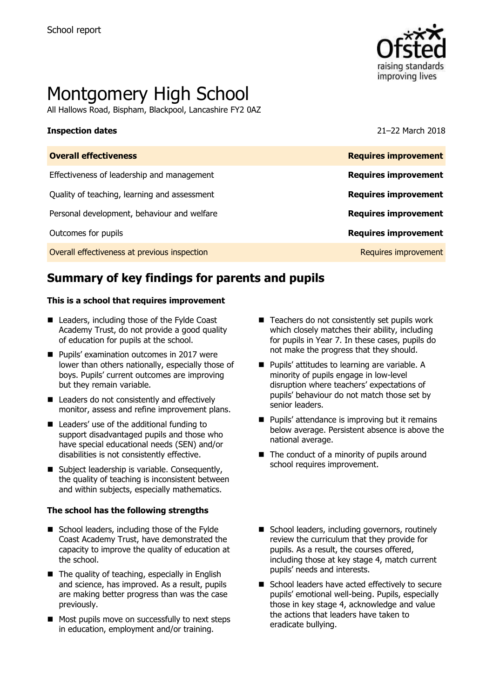

# Montgomery High School

All Hallows Road, Bispham, Blackpool, Lancashire FY2 0AZ

**Inspection dates** 21–22 March 2018

| <b>Requires improvement</b> |
|-----------------------------|
| <b>Requires improvement</b> |
| <b>Requires improvement</b> |
| <b>Requires improvement</b> |
| <b>Requires improvement</b> |
| Requires improvement        |
|                             |

# **Summary of key findings for parents and pupils**

### **This is a school that requires improvement**

- Leaders, including those of the Fylde Coast Academy Trust, do not provide a good quality of education for pupils at the school.
- **Pupils' examination outcomes in 2017 were** lower than others nationally, especially those of boys. Pupils' current outcomes are improving but they remain variable.
- Leaders do not consistently and effectively monitor, assess and refine improvement plans.
- Leaders' use of the additional funding to support disadvantaged pupils and those who have special educational needs (SEN) and/or disabilities is not consistently effective.
- Subject leadership is variable. Consequently, the quality of teaching is inconsistent between and within subjects, especially mathematics.

### **The school has the following strengths**

- School leaders, including those of the Fylde Coast Academy Trust, have demonstrated the capacity to improve the quality of education at the school.
- $\blacksquare$  The quality of teaching, especially in English and science, has improved. As a result, pupils are making better progress than was the case previously.
- Most pupils move on successfully to next steps in education, employment and/or training.
- $\blacksquare$  Teachers do not consistently set pupils work which closely matches their ability, including for pupils in Year 7. In these cases, pupils do not make the progress that they should.
- Pupils' attitudes to learning are variable. A minority of pupils engage in low-level disruption where teachers' expectations of pupils' behaviour do not match those set by senior leaders.
- $\blacksquare$  Pupils' attendance is improving but it remains below average. Persistent absence is above the national average.
- $\blacksquare$  The conduct of a minority of pupils around school requires improvement.
- School leaders, including governors, routinely review the curriculum that they provide for pupils. As a result, the courses offered, including those at key stage 4, match current pupils' needs and interests.
- School leaders have acted effectively to secure pupils' emotional well-being. Pupils, especially those in key stage 4, acknowledge and value the actions that leaders have taken to eradicate bullying.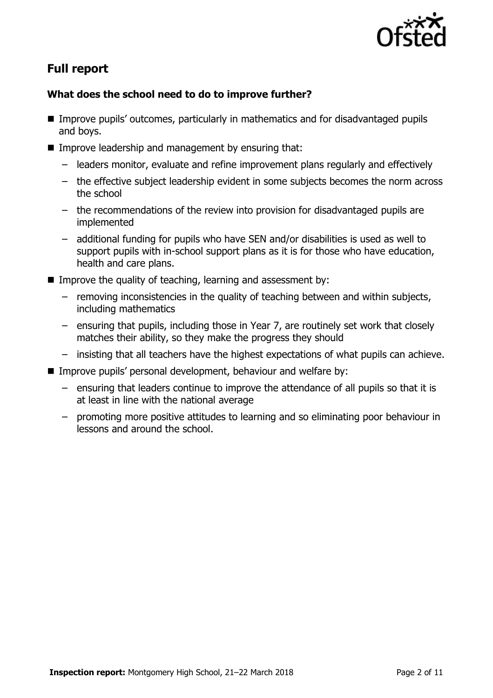

# **Full report**

### **What does the school need to do to improve further?**

- Improve pupils' outcomes, particularly in mathematics and for disadvantaged pupils and boys.
- Improve leadership and management by ensuring that:
	- leaders monitor, evaluate and refine improvement plans regularly and effectively
	- the effective subject leadership evident in some subjects becomes the norm across the school
	- the recommendations of the review into provision for disadvantaged pupils are implemented
	- additional funding for pupils who have SEN and/or disabilities is used as well to support pupils with in-school support plans as it is for those who have education, health and care plans.
- Improve the quality of teaching, learning and assessment by:
	- removing inconsistencies in the quality of teaching between and within subjects, including mathematics
	- ensuring that pupils, including those in Year 7, are routinely set work that closely matches their ability, so they make the progress they should
	- insisting that all teachers have the highest expectations of what pupils can achieve.
- **IMPROVE PUPILS' personal development, behaviour and welfare by:** 
	- ensuring that leaders continue to improve the attendance of all pupils so that it is at least in line with the national average
	- promoting more positive attitudes to learning and so eliminating poor behaviour in lessons and around the school.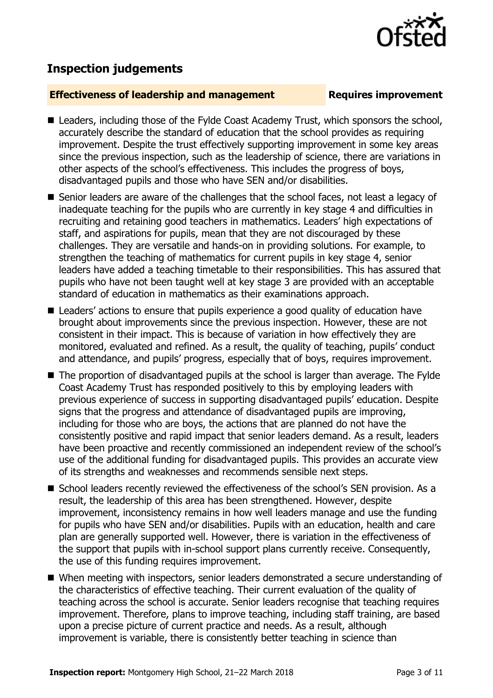# **Inspection judgements**

### **Effectiveness of leadership and management Requires improvement**

- Leaders, including those of the Fylde Coast Academy Trust, which sponsors the school, accurately describe the standard of education that the school provides as requiring improvement. Despite the trust effectively supporting improvement in some key areas since the previous inspection, such as the leadership of science, there are variations in other aspects of the school's effectiveness. This includes the progress of boys, disadvantaged pupils and those who have SEN and/or disabilities.
- Senior leaders are aware of the challenges that the school faces, not least a legacy of inadequate teaching for the pupils who are currently in key stage 4 and difficulties in recruiting and retaining good teachers in mathematics. Leaders' high expectations of staff, and aspirations for pupils, mean that they are not discouraged by these challenges. They are versatile and hands-on in providing solutions. For example, to strengthen the teaching of mathematics for current pupils in key stage 4, senior leaders have added a teaching timetable to their responsibilities. This has assured that pupils who have not been taught well at key stage 3 are provided with an acceptable standard of education in mathematics as their examinations approach.
- Leaders' actions to ensure that pupils experience a good quality of education have brought about improvements since the previous inspection. However, these are not consistent in their impact. This is because of variation in how effectively they are monitored, evaluated and refined. As a result, the quality of teaching, pupils' conduct and attendance, and pupils' progress, especially that of boys, requires improvement.
- The proportion of disadvantaged pupils at the school is larger than average. The Fylde Coast Academy Trust has responded positively to this by employing leaders with previous experience of success in supporting disadvantaged pupils' education. Despite signs that the progress and attendance of disadvantaged pupils are improving, including for those who are boys, the actions that are planned do not have the consistently positive and rapid impact that senior leaders demand. As a result, leaders have been proactive and recently commissioned an independent review of the school's use of the additional funding for disadvantaged pupils. This provides an accurate view of its strengths and weaknesses and recommends sensible next steps.
- School leaders recently reviewed the effectiveness of the school's SEN provision. As a result, the leadership of this area has been strengthened. However, despite improvement, inconsistency remains in how well leaders manage and use the funding for pupils who have SEN and/or disabilities. Pupils with an education, health and care plan are generally supported well. However, there is variation in the effectiveness of the support that pupils with in-school support plans currently receive. Consequently, the use of this funding requires improvement.
- When meeting with inspectors, senior leaders demonstrated a secure understanding of the characteristics of effective teaching. Their current evaluation of the quality of teaching across the school is accurate. Senior leaders recognise that teaching requires improvement. Therefore, plans to improve teaching, including staff training, are based upon a precise picture of current practice and needs. As a result, although improvement is variable, there is consistently better teaching in science than

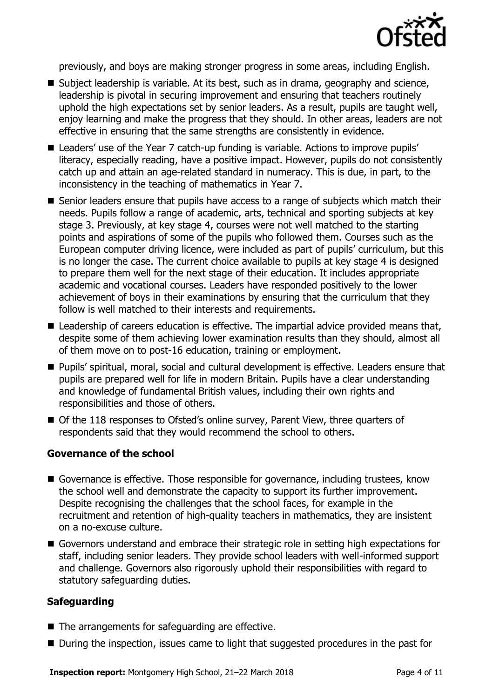

previously, and boys are making stronger progress in some areas, including English.

- Subject leadership is variable. At its best, such as in drama, geography and science, leadership is pivotal in securing improvement and ensuring that teachers routinely uphold the high expectations set by senior leaders. As a result, pupils are taught well, enjoy learning and make the progress that they should. In other areas, leaders are not effective in ensuring that the same strengths are consistently in evidence.
- Leaders' use of the Year 7 catch-up funding is variable. Actions to improve pupils' literacy, especially reading, have a positive impact. However, pupils do not consistently catch up and attain an age-related standard in numeracy. This is due, in part, to the inconsistency in the teaching of mathematics in Year 7.
- Senior leaders ensure that pupils have access to a range of subjects which match their needs. Pupils follow a range of academic, arts, technical and sporting subjects at key stage 3. Previously, at key stage 4, courses were not well matched to the starting points and aspirations of some of the pupils who followed them. Courses such as the European computer driving licence, were included as part of pupils' curriculum, but this is no longer the case. The current choice available to pupils at key stage 4 is designed to prepare them well for the next stage of their education. It includes appropriate academic and vocational courses. Leaders have responded positively to the lower achievement of boys in their examinations by ensuring that the curriculum that they follow is well matched to their interests and requirements.
- Leadership of careers education is effective. The impartial advice provided means that, despite some of them achieving lower examination results than they should, almost all of them move on to post-16 education, training or employment.
- Pupils' spiritual, moral, social and cultural development is effective. Leaders ensure that pupils are prepared well for life in modern Britain. Pupils have a clear understanding and knowledge of fundamental British values, including their own rights and responsibilities and those of others.
- Of the 118 responses to Ofsted's online survey, Parent View, three quarters of respondents said that they would recommend the school to others.

### **Governance of the school**

- Governance is effective. Those responsible for governance, including trustees, know the school well and demonstrate the capacity to support its further improvement. Despite recognising the challenges that the school faces, for example in the recruitment and retention of high-quality teachers in mathematics, they are insistent on a no-excuse culture.
- Governors understand and embrace their strategic role in setting high expectations for staff, including senior leaders. They provide school leaders with well-informed support and challenge. Governors also rigorously uphold their responsibilities with regard to statutory safeguarding duties.

### **Safeguarding**

- The arrangements for safeguarding are effective.
- During the inspection, issues came to light that suggested procedures in the past for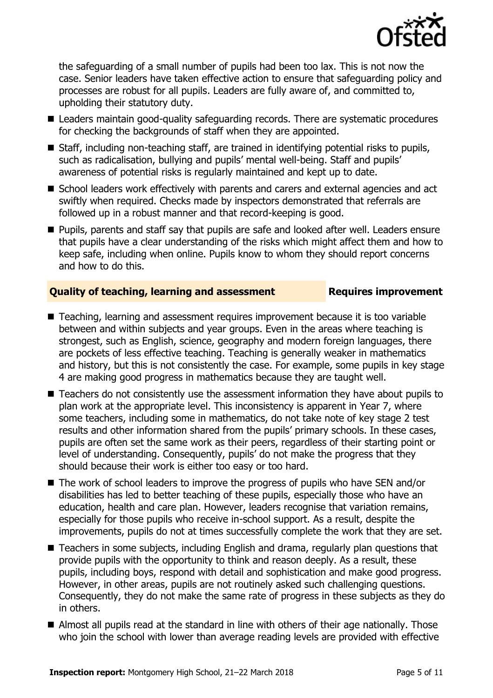

the safeguarding of a small number of pupils had been too lax. This is not now the case. Senior leaders have taken effective action to ensure that safeguarding policy and processes are robust for all pupils. Leaders are fully aware of, and committed to, upholding their statutory duty.

- Leaders maintain good-quality safeguarding records. There are systematic procedures for checking the backgrounds of staff when they are appointed.
- Staff, including non-teaching staff, are trained in identifying potential risks to pupils, such as radicalisation, bullying and pupils' mental well-being. Staff and pupils' awareness of potential risks is regularly maintained and kept up to date.
- School leaders work effectively with parents and carers and external agencies and act swiftly when required. Checks made by inspectors demonstrated that referrals are followed up in a robust manner and that record-keeping is good.
- **Pupils, parents and staff say that pupils are safe and looked after well. Leaders ensure** that pupils have a clear understanding of the risks which might affect them and how to keep safe, including when online. Pupils know to whom they should report concerns and how to do this.

### **Quality of teaching, learning and assessment Requires improvement**

- Teaching, learning and assessment requires improvement because it is too variable between and within subjects and year groups. Even in the areas where teaching is strongest, such as English, science, geography and modern foreign languages, there are pockets of less effective teaching. Teaching is generally weaker in mathematics and history, but this is not consistently the case. For example, some pupils in key stage 4 are making good progress in mathematics because they are taught well.
- Teachers do not consistently use the assessment information they have about pupils to plan work at the appropriate level. This inconsistency is apparent in Year 7, where some teachers, including some in mathematics, do not take note of key stage 2 test results and other information shared from the pupils' primary schools. In these cases, pupils are often set the same work as their peers, regardless of their starting point or level of understanding. Consequently, pupils' do not make the progress that they should because their work is either too easy or too hard.
- The work of school leaders to improve the progress of pupils who have SEN and/or disabilities has led to better teaching of these pupils, especially those who have an education, health and care plan. However, leaders recognise that variation remains, especially for those pupils who receive in-school support. As a result, despite the improvements, pupils do not at times successfully complete the work that they are set.
- Teachers in some subjects, including English and drama, regularly plan questions that provide pupils with the opportunity to think and reason deeply. As a result, these pupils, including boys, respond with detail and sophistication and make good progress. However, in other areas, pupils are not routinely asked such challenging questions. Consequently, they do not make the same rate of progress in these subjects as they do in others.
- Almost all pupils read at the standard in line with others of their age nationally. Those who join the school with lower than average reading levels are provided with effective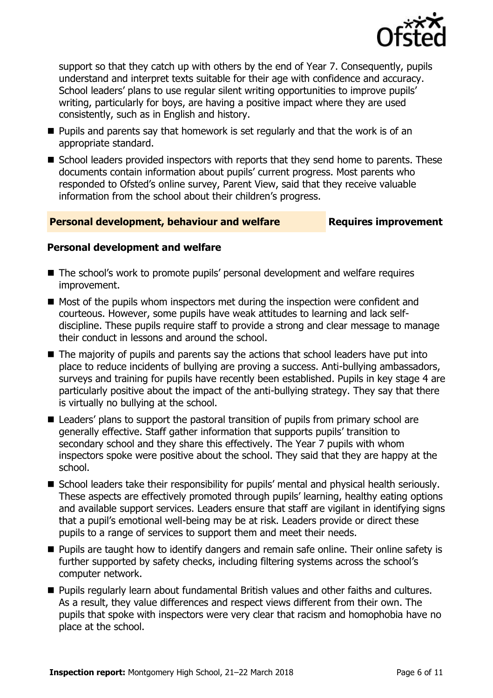

support so that they catch up with others by the end of Year 7. Consequently, pupils understand and interpret texts suitable for their age with confidence and accuracy. School leaders' plans to use regular silent writing opportunities to improve pupils' writing, particularly for boys, are having a positive impact where they are used consistently, such as in English and history.

- $\blacksquare$  Pupils and parents say that homework is set regularly and that the work is of an appropriate standard.
- School leaders provided inspectors with reports that they send home to parents. These documents contain information about pupils' current progress. Most parents who responded to Ofsted's online survey, Parent View, said that they receive valuable information from the school about their children's progress.

### **Personal development, behaviour and welfare Fig. 2.1 Requires improvement**

### **Personal development and welfare**

- The school's work to promote pupils' personal development and welfare requires improvement.
- $\blacksquare$  Most of the pupils whom inspectors met during the inspection were confident and courteous. However, some pupils have weak attitudes to learning and lack selfdiscipline. These pupils require staff to provide a strong and clear message to manage their conduct in lessons and around the school.
- The majority of pupils and parents say the actions that school leaders have put into place to reduce incidents of bullying are proving a success. Anti-bullying ambassadors, surveys and training for pupils have recently been established. Pupils in key stage 4 are particularly positive about the impact of the anti-bullying strategy. They say that there is virtually no bullying at the school.
- Leaders' plans to support the pastoral transition of pupils from primary school are generally effective. Staff gather information that supports pupils' transition to secondary school and they share this effectively. The Year 7 pupils with whom inspectors spoke were positive about the school. They said that they are happy at the school.
- School leaders take their responsibility for pupils' mental and physical health seriously. These aspects are effectively promoted through pupils' learning, healthy eating options and available support services. Leaders ensure that staff are vigilant in identifying signs that a pupil's emotional well-being may be at risk. Leaders provide or direct these pupils to a range of services to support them and meet their needs.
- **Pupils are taught how to identify dangers and remain safe online. Their online safety is** further supported by safety checks, including filtering systems across the school's computer network.
- **Pupils regularly learn about fundamental British values and other faiths and cultures.** As a result, they value differences and respect views different from their own. The pupils that spoke with inspectors were very clear that racism and homophobia have no place at the school.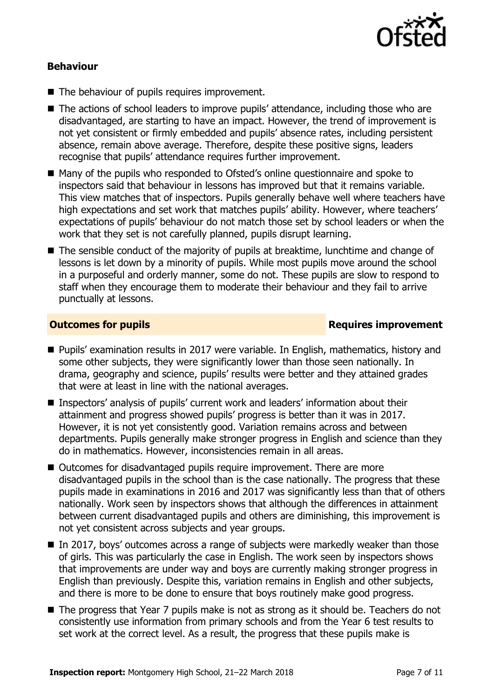

### **Behaviour**

- The behaviour of pupils requires improvement.
- The actions of school leaders to improve pupils' attendance, including those who are disadvantaged, are starting to have an impact. However, the trend of improvement is not yet consistent or firmly embedded and pupils' absence rates, including persistent absence, remain above average. Therefore, despite these positive signs, leaders recognise that pupils' attendance requires further improvement.
- Many of the pupils who responded to Ofsted's online questionnaire and spoke to inspectors said that behaviour in lessons has improved but that it remains variable. This view matches that of inspectors. Pupils generally behave well where teachers have high expectations and set work that matches pupils' ability. However, where teachers' expectations of pupils' behaviour do not match those set by school leaders or when the work that they set is not carefully planned, pupils disrupt learning.
- The sensible conduct of the majority of pupils at breaktime, lunchtime and change of lessons is let down by a minority of pupils. While most pupils move around the school in a purposeful and orderly manner, some do not. These pupils are slow to respond to staff when they encourage them to moderate their behaviour and they fail to arrive punctually at lessons.

### **Outcomes for pupils Requires improvement**

- Pupils' examination results in 2017 were variable. In English, mathematics, history and some other subjects, they were significantly lower than those seen nationally. In drama, geography and science, pupils' results were better and they attained grades that were at least in line with the national averages.
- Inspectors' analysis of pupils' current work and leaders' information about their attainment and progress showed pupils' progress is better than it was in 2017. However, it is not yet consistently good. Variation remains across and between departments. Pupils generally make stronger progress in English and science than they do in mathematics. However, inconsistencies remain in all areas.
- Outcomes for disadvantaged pupils require improvement. There are more disadvantaged pupils in the school than is the case nationally. The progress that these pupils made in examinations in 2016 and 2017 was significantly less than that of others nationally. Work seen by inspectors shows that although the differences in attainment between current disadvantaged pupils and others are diminishing, this improvement is not yet consistent across subjects and year groups.
- In 2017, boys' outcomes across a range of subjects were markedly weaker than those of girls. This was particularly the case in English. The work seen by inspectors shows that improvements are under way and boys are currently making stronger progress in English than previously. Despite this, variation remains in English and other subjects, and there is more to be done to ensure that boys routinely make good progress.
- The progress that Year 7 pupils make is not as strong as it should be. Teachers do not consistently use information from primary schools and from the Year 6 test results to set work at the correct level. As a result, the progress that these pupils make is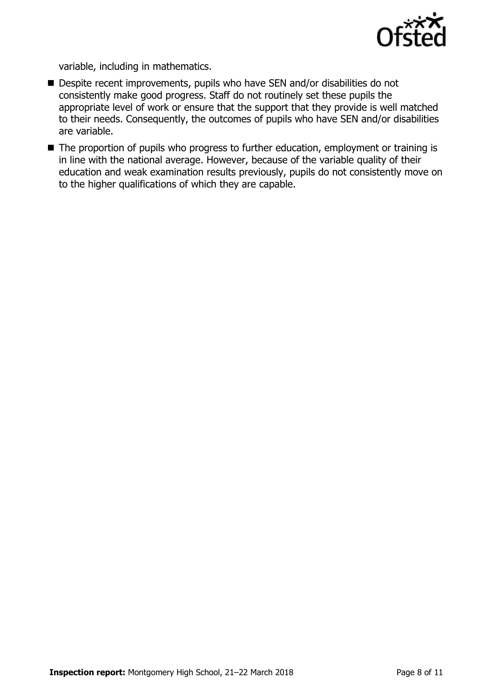

variable, including in mathematics.

- Despite recent improvements, pupils who have SEN and/or disabilities do not consistently make good progress. Staff do not routinely set these pupils the appropriate level of work or ensure that the support that they provide is well matched to their needs. Consequently, the outcomes of pupils who have SEN and/or disabilities are variable.
- The proportion of pupils who progress to further education, employment or training is in line with the national average. However, because of the variable quality of their education and weak examination results previously, pupils do not consistently move on to the higher qualifications of which they are capable.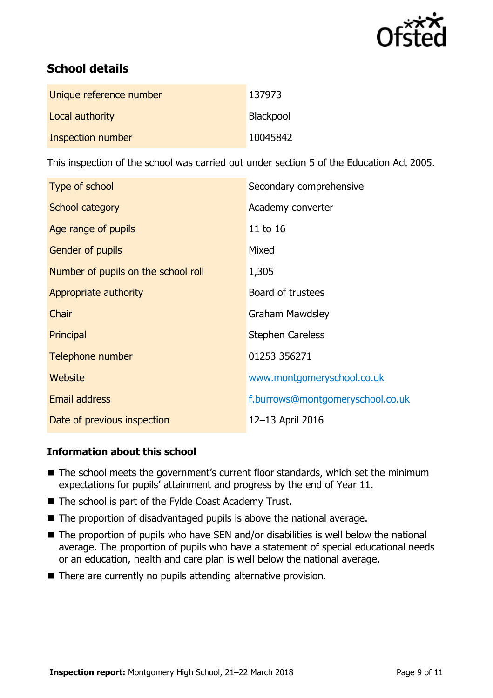

# **School details**

| Unique reference number | 137973    |
|-------------------------|-----------|
| Local authority         | Blackpool |
| Inspection number       | 10045842  |

This inspection of the school was carried out under section 5 of the Education Act 2005.

| Type of school                      | Secondary comprehensive          |
|-------------------------------------|----------------------------------|
| School category                     | Academy converter                |
| Age range of pupils                 | 11 to 16                         |
| <b>Gender of pupils</b>             | Mixed                            |
| Number of pupils on the school roll | 1,305                            |
| Appropriate authority               | Board of trustees                |
| Chair                               | <b>Graham Mawdsley</b>           |
| Principal                           | <b>Stephen Careless</b>          |
| Telephone number                    | 01253 356271                     |
| Website                             | www.montgomeryschool.co.uk       |
| <b>Email address</b>                | f.burrows@montgomeryschool.co.uk |
| Date of previous inspection         | 12-13 April 2016                 |

### **Information about this school**

- The school meets the government's current floor standards, which set the minimum expectations for pupils' attainment and progress by the end of Year 11.
- The school is part of the Fylde Coast Academy Trust.
- The proportion of disadvantaged pupils is above the national average.
- The proportion of pupils who have SEN and/or disabilities is well below the national average. The proportion of pupils who have a statement of special educational needs or an education, health and care plan is well below the national average.
- There are currently no pupils attending alternative provision.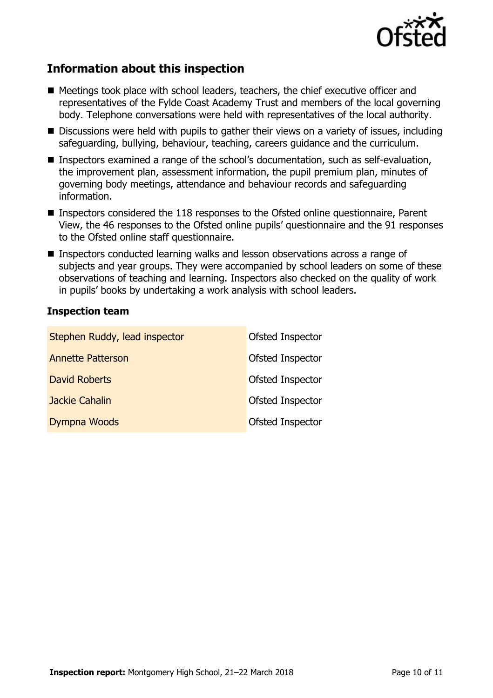

## **Information about this inspection**

- Meetings took place with school leaders, teachers, the chief executive officer and representatives of the Fylde Coast Academy Trust and members of the local governing body. Telephone conversations were held with representatives of the local authority.
- Discussions were held with pupils to gather their views on a variety of issues, including safeguarding, bullying, behaviour, teaching, careers guidance and the curriculum.
- Inspectors examined a range of the school's documentation, such as self-evaluation, the improvement plan, assessment information, the pupil premium plan, minutes of governing body meetings, attendance and behaviour records and safeguarding information.
- Inspectors considered the 118 responses to the Ofsted online questionnaire, Parent View, the 46 responses to the Ofsted online pupils' questionnaire and the 91 responses to the Ofsted online staff questionnaire.
- Inspectors conducted learning walks and lesson observations across a range of subjects and year groups. They were accompanied by school leaders on some of these observations of teaching and learning. Inspectors also checked on the quality of work in pupils' books by undertaking a work analysis with school leaders.

### **Inspection team**

| Stephen Ruddy, lead inspector | Ofsted Inspector |
|-------------------------------|------------------|
| <b>Annette Patterson</b>      | Ofsted Inspector |
| <b>David Roberts</b>          | Ofsted Inspector |
| Jackie Cahalin                | Ofsted Inspector |
| Dympna Woods                  | Ofsted Inspector |